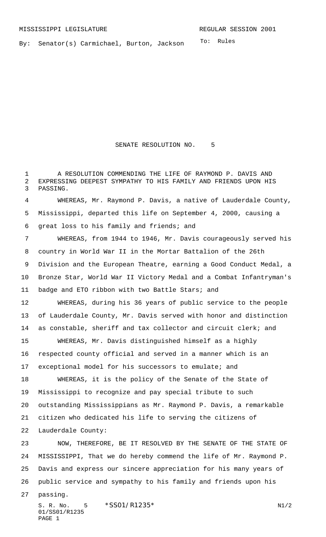To: Rules By: Senator(s) Carmichael, Burton, Jackson

## SENATE RESOLUTION NO. 5

 A RESOLUTION COMMENDING THE LIFE OF RAYMOND P. DAVIS AND EXPRESSING DEEPEST SYMPATHY TO HIS FAMILY AND FRIENDS UPON HIS PASSING.

 WHEREAS, Mr. Raymond P. Davis, a native of Lauderdale County, Mississippi, departed this life on September 4, 2000, causing a great loss to his family and friends; and

 WHEREAS, from 1944 to 1946, Mr. Davis courageously served his country in World War II in the Mortar Battalion of the 26th Division and the European Theatre, earning a Good Conduct Medal, a Bronze Star, World War II Victory Medal and a Combat Infantryman's badge and ETO ribbon with two Battle Stars; and

 WHEREAS, during his 36 years of public service to the people of Lauderdale County, Mr. Davis served with honor and distinction as constable, sheriff and tax collector and circuit clerk; and

 WHEREAS, Mr. Davis distinguished himself as a highly respected county official and served in a manner which is an exceptional model for his successors to emulate; and

 WHEREAS, it is the policy of the Senate of the State of Mississippi to recognize and pay special tribute to such outstanding Mississippians as Mr. Raymond P. Davis, a remarkable citizen who dedicated his life to serving the citizens of Lauderdale County:

 NOW, THEREFORE, BE IT RESOLVED BY THE SENATE OF THE STATE OF MISSISSIPPI, That we do hereby commend the life of Mr. Raymond P. Davis and express our sincere appreciation for his many years of public service and sympathy to his family and friends upon his

passing.

S. R. No. \*SS01/R1235\* N1/2 01/SS01/R1235 PAGE 1